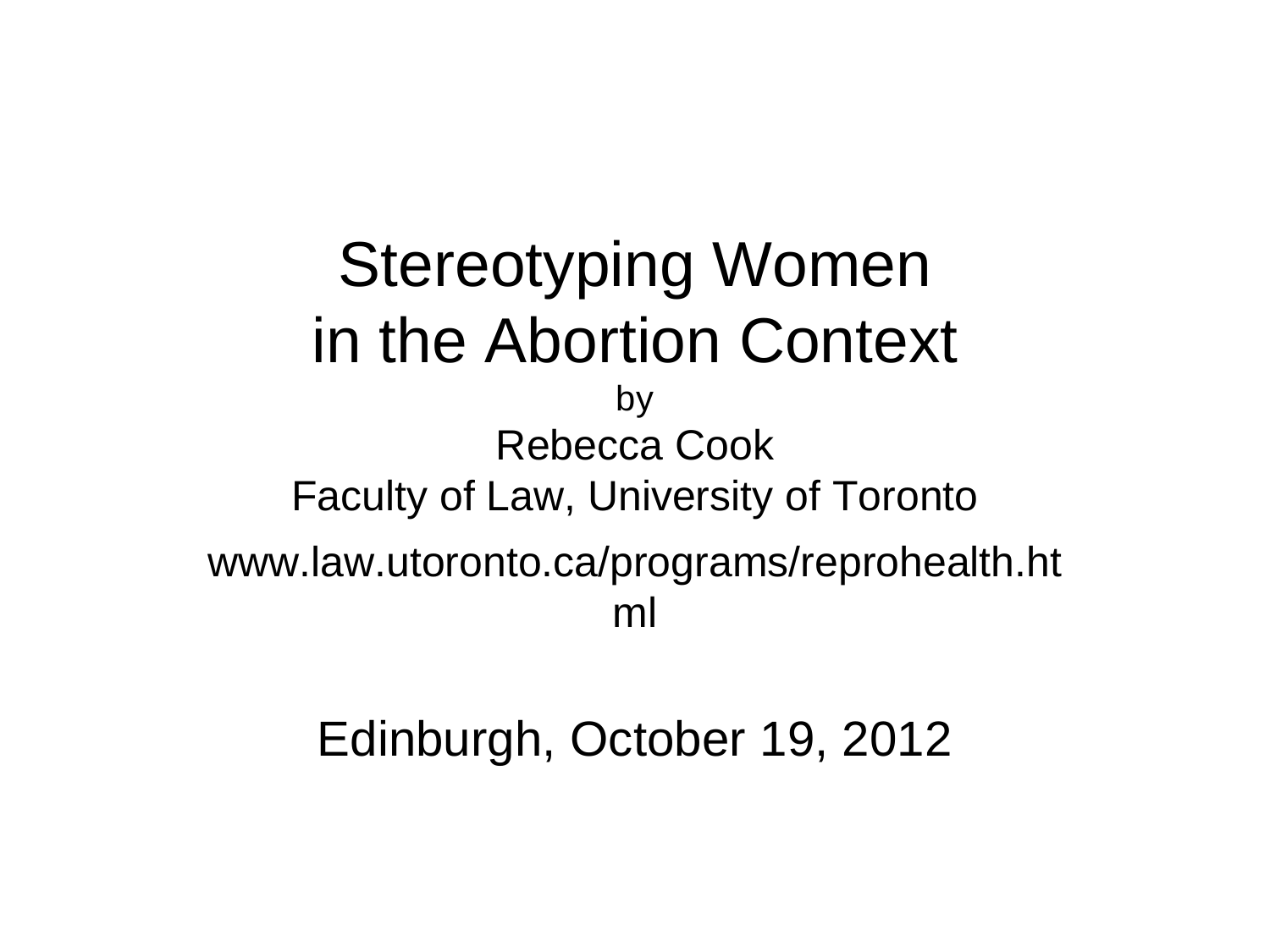Stereotyping Women in the Abortion Context by Rebecca Cook Faculty of Law, University of Toronto www.law.utoronto.ca/programs/reprohealth.ht ml

Edinburgh, October 19, 2012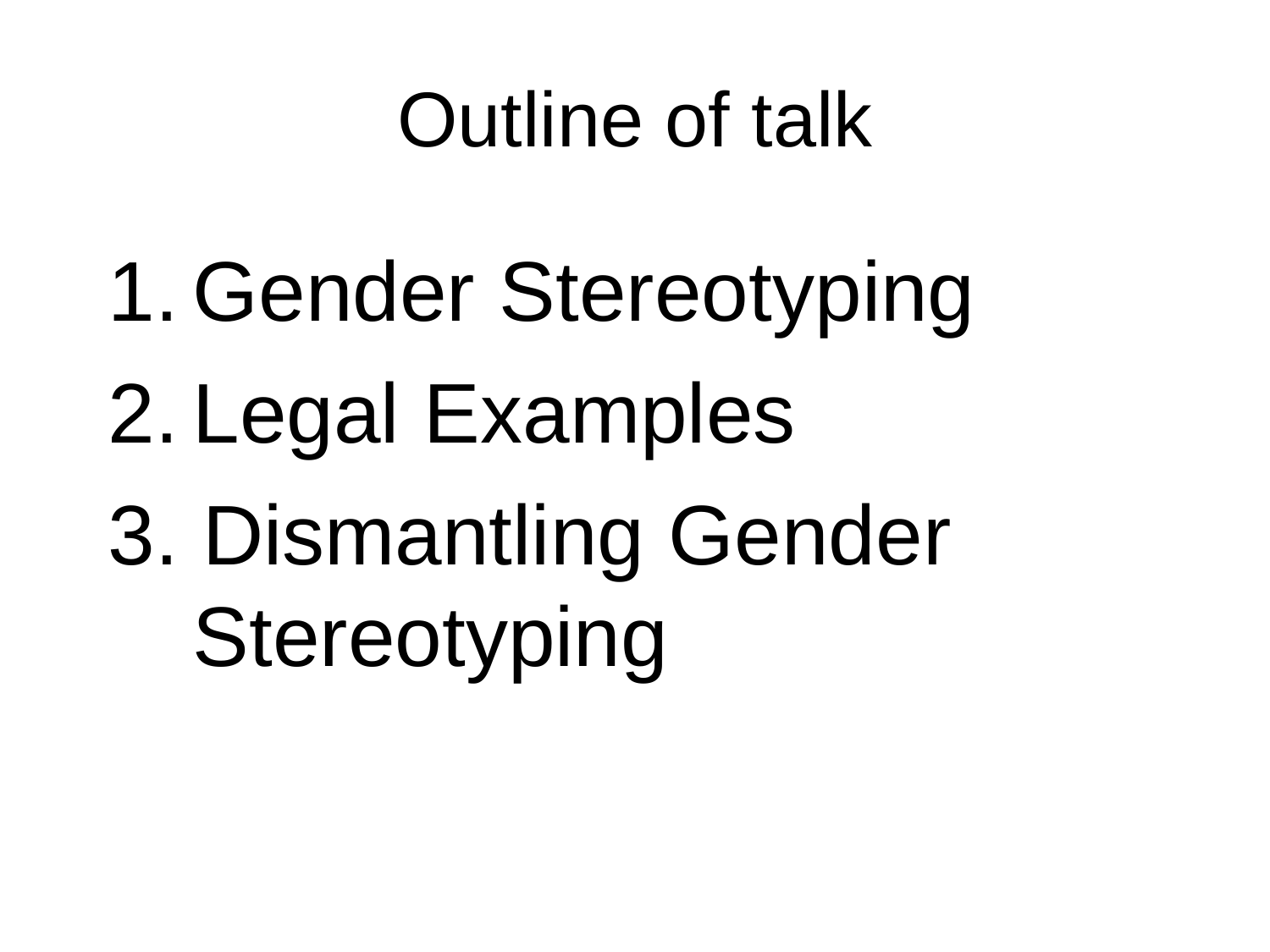### Outline of talk

- 1. Gender Stereotyping
- 2. Legal Examples
- 3. Dismantling Gender **Stereotyping**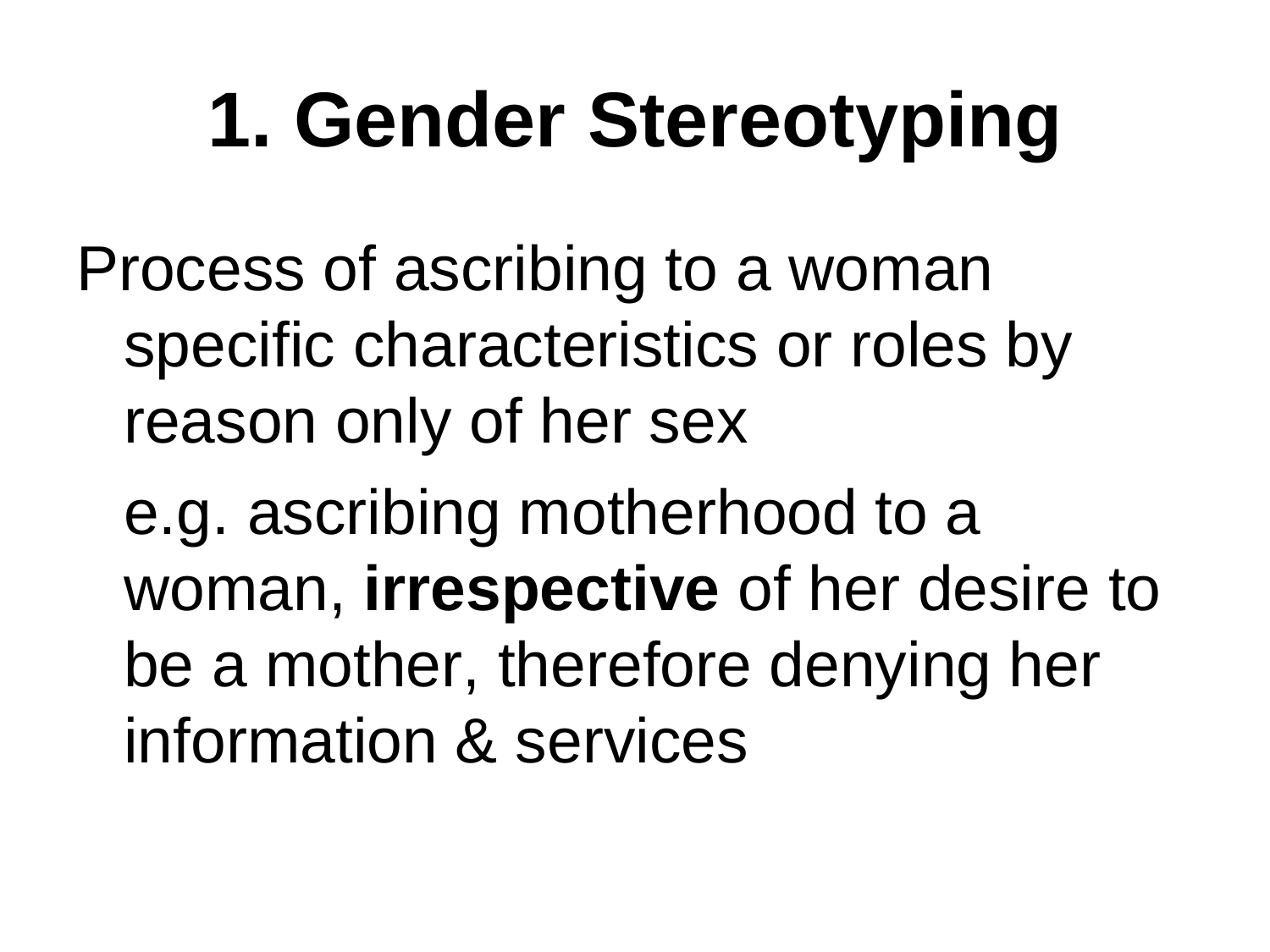# **1. Gender Stereotyping**

Process of ascribing to a woman specific characteristics or roles by reason only of her sex

e.g. ascribing motherhood to a woman, **irrespective** of her desire to be a mother, therefore denying her information & services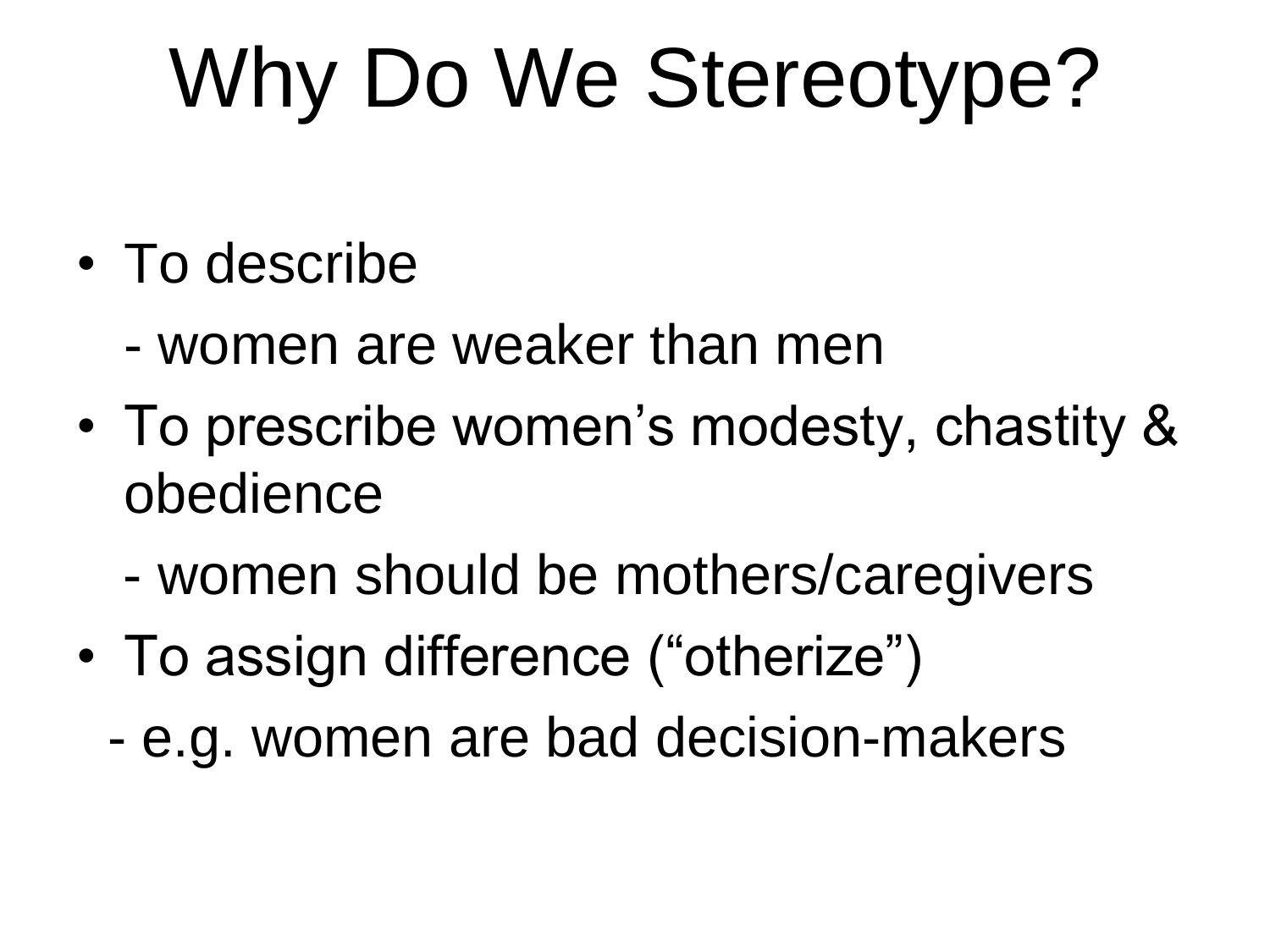# Why Do We Stereotype?

- To describe
	- women are weaker than men
- To prescribe women's modesty, chastity & obedience
	- women should be mothers/caregivers
- To assign difference ("otherize")
	- e.g. women are bad decision-makers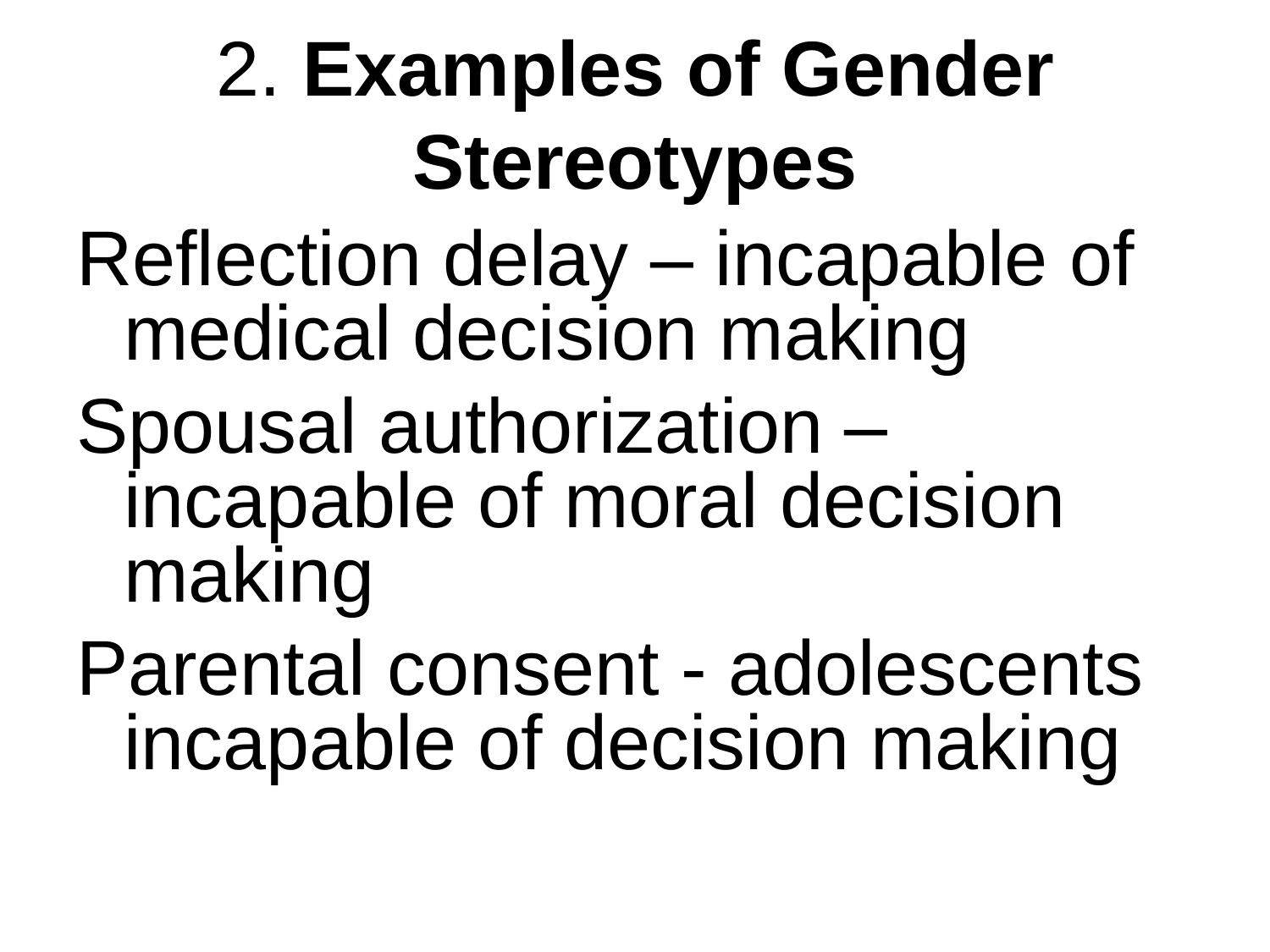### 2. **Examples of Gender Stereotypes**

- Reflection delay incapable of medical decision making
- Spousal authorization incapable of moral decision making
- Parental consent adolescents incapable of decision making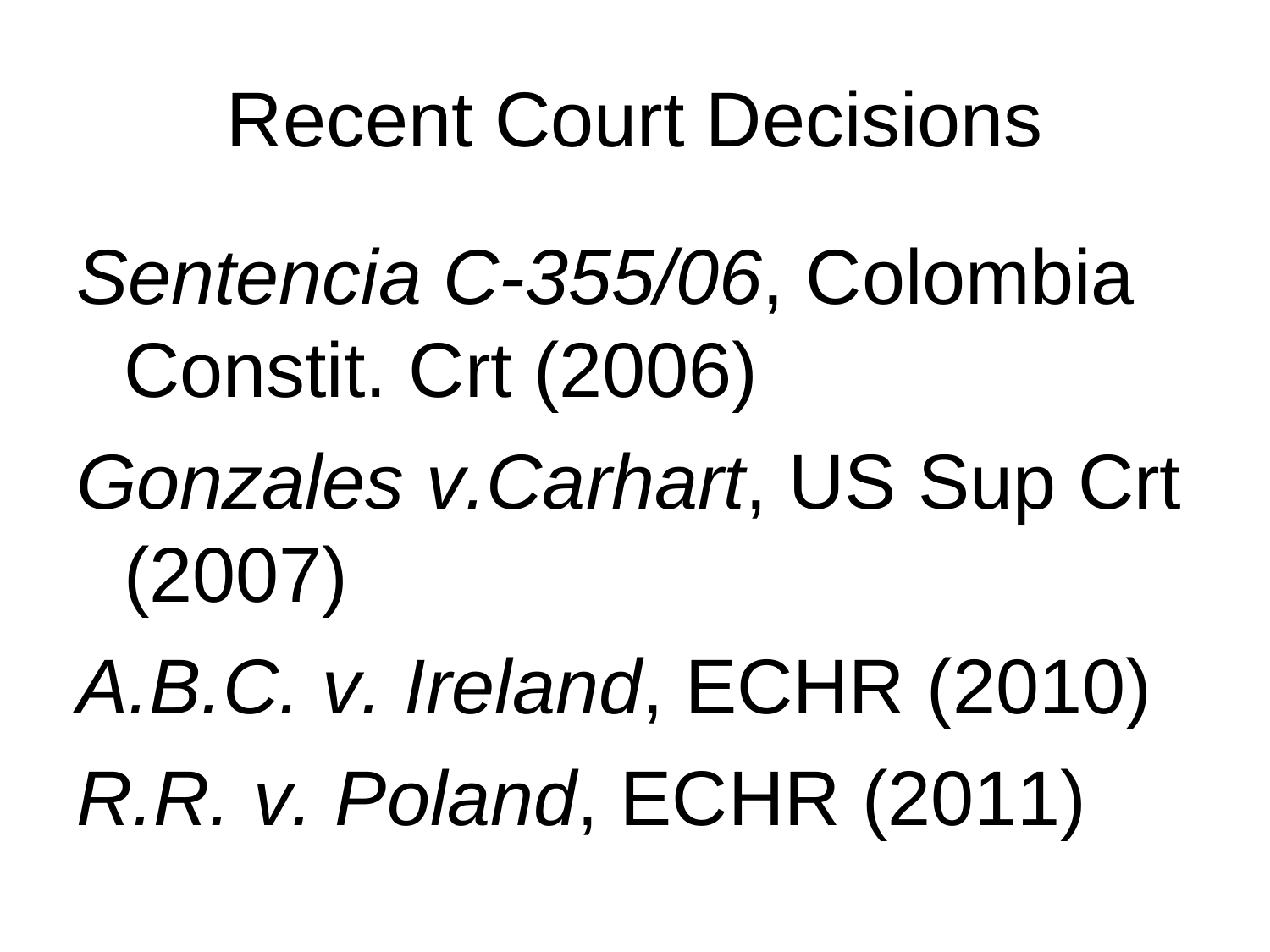#### Recent Court Decisions

*Sentencia C-355/06*, Colombia Constit. Crt (2006)

*Gonzales v.Carhart*, US Sup Crt (2007)

*A.B.C. v. Ireland*, ECHR (2010) *R.R. v. Poland*, ECHR (2011)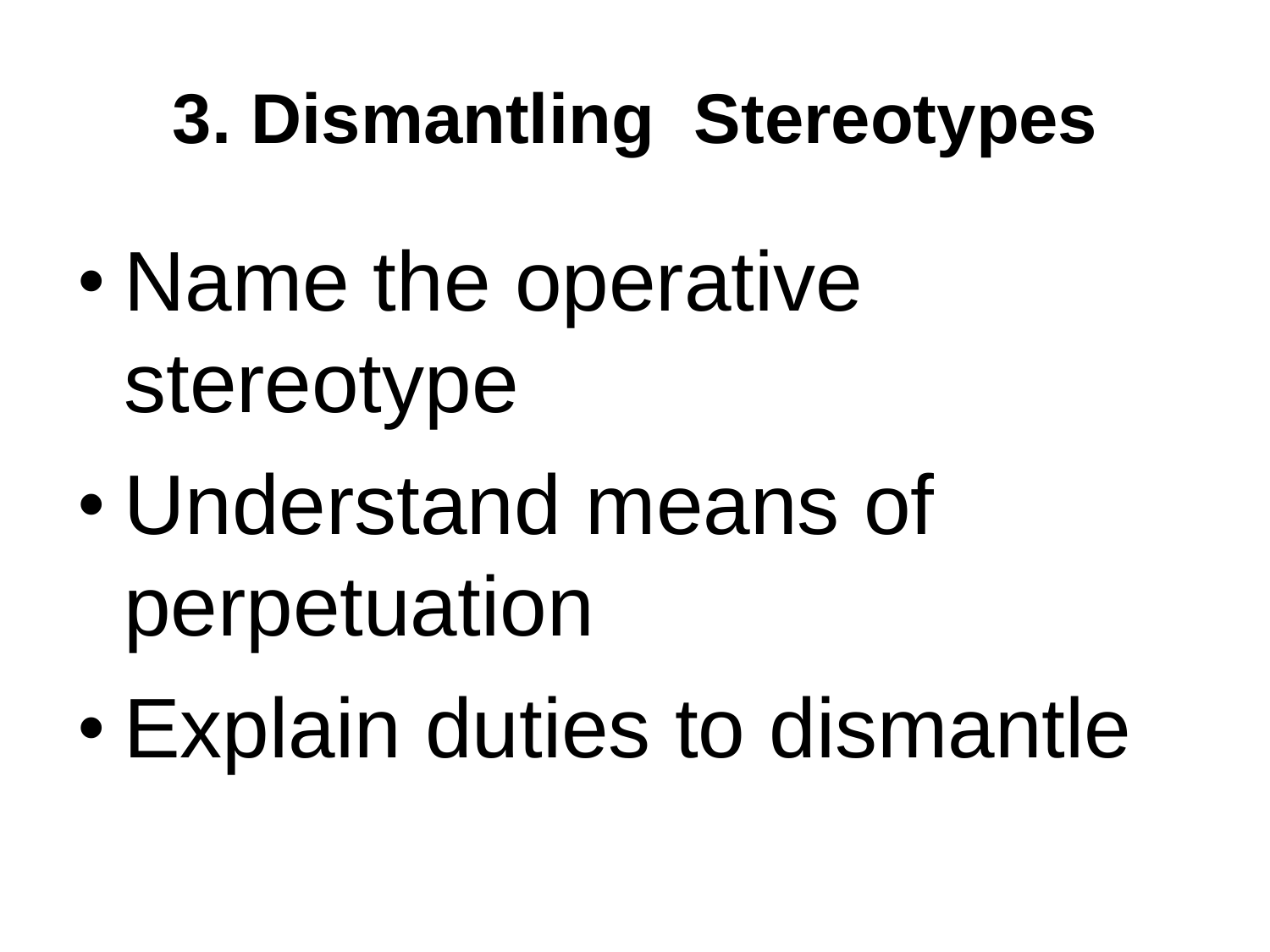### **3. Dismantling Stereotypes**

- Name the operative stereotype
- Understand means of perpetuation
- Explain duties to dismantle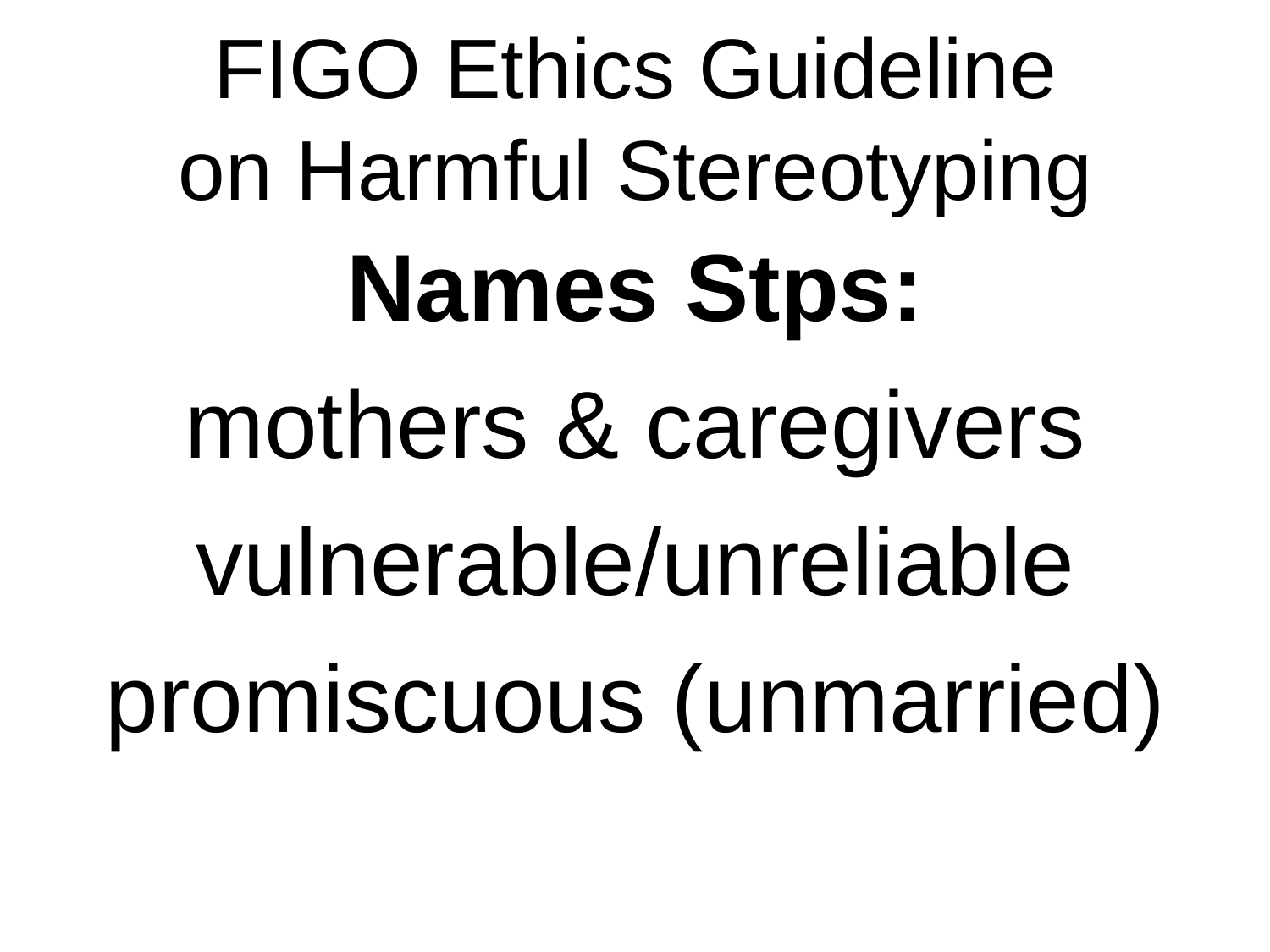FIGO Ethics Guideline on Harmful Stereotyping **Names Stps:** mothers & caregivers vulnerable/unreliable promiscuous (unmarried)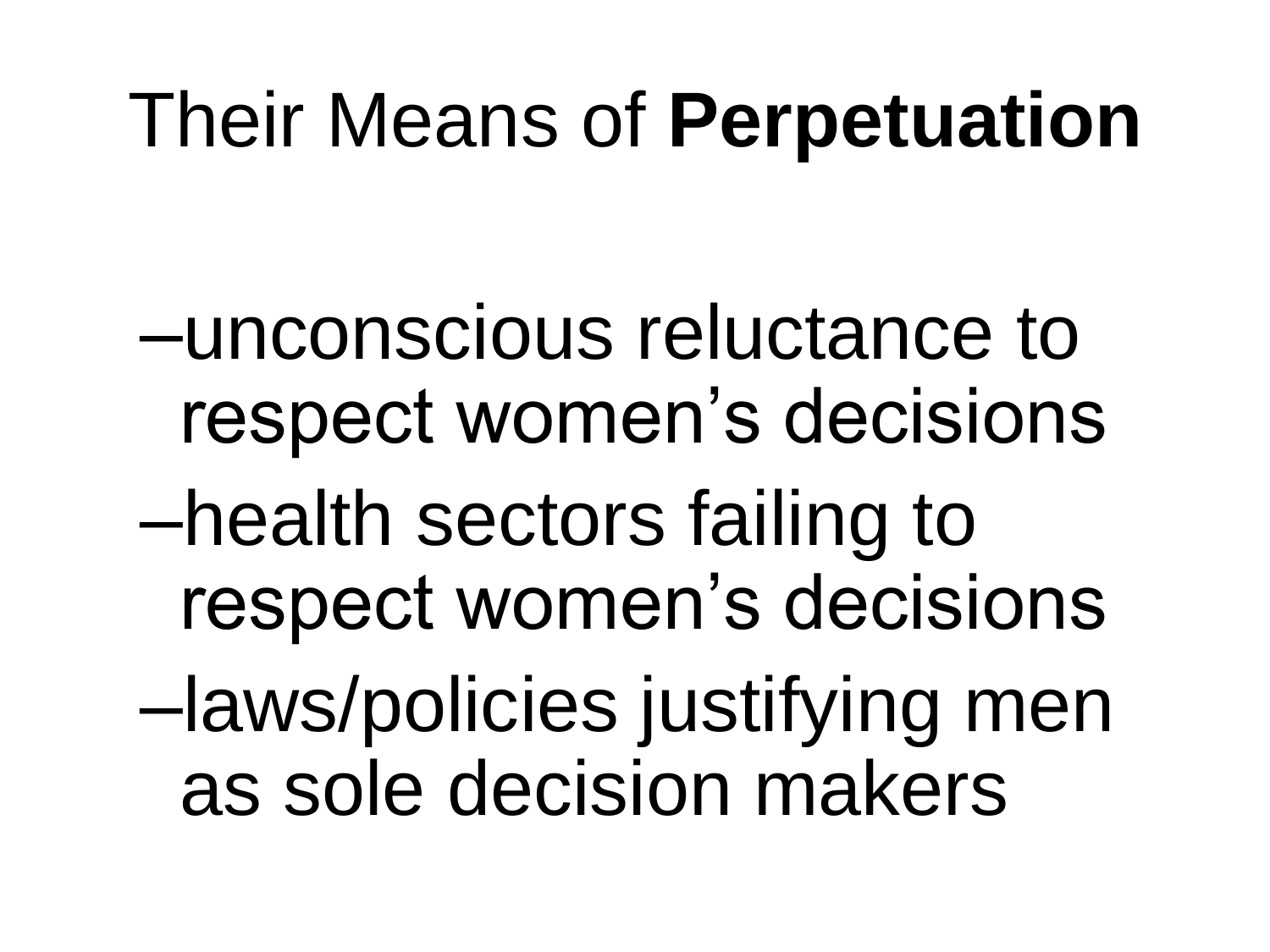### Their Means of **Perpetuation**

–unconscious reluctance to respect women's decisions –health sectors failing to respect women's decisions –laws/policies justifying men as sole decision makers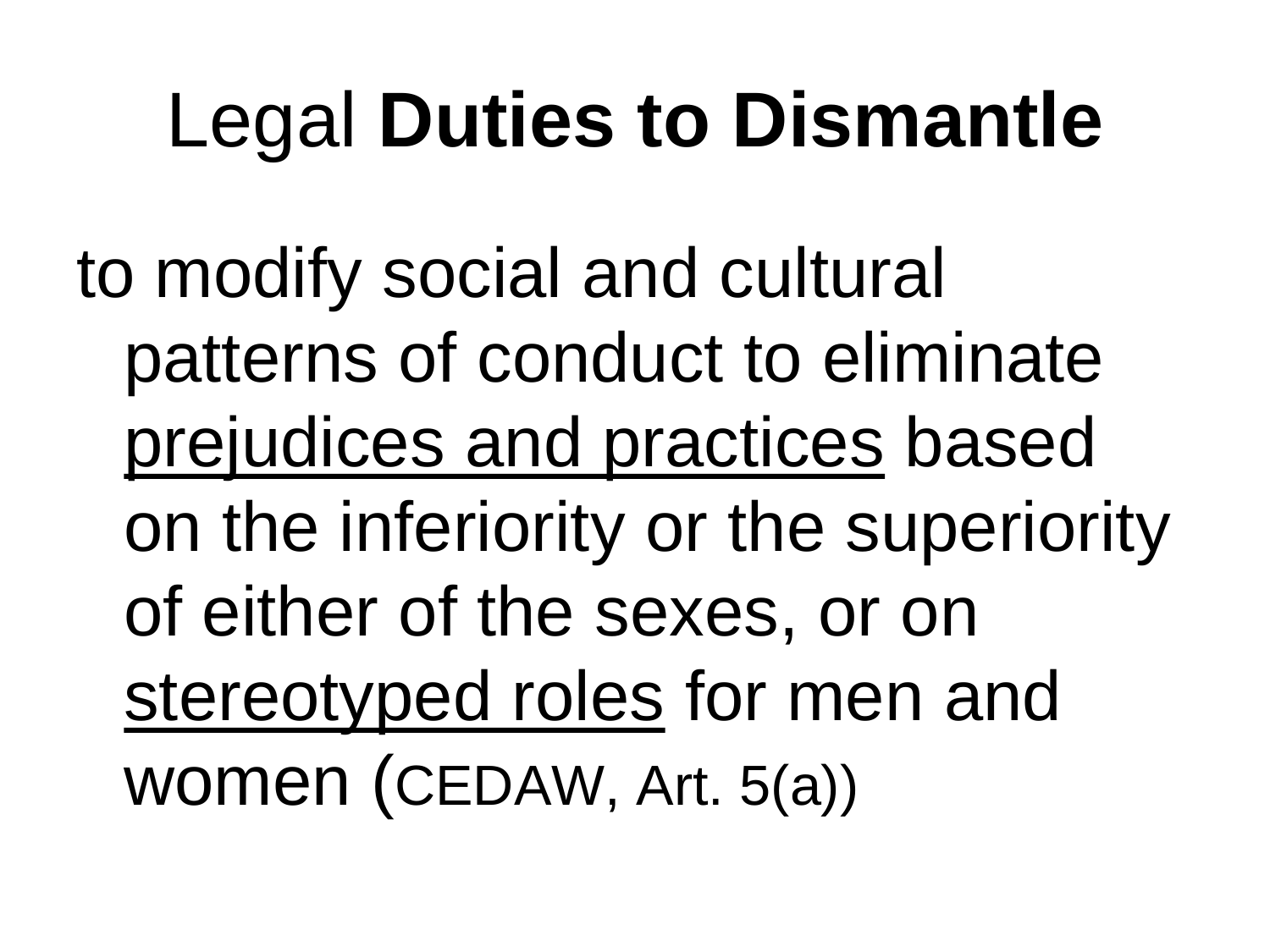### Legal **Duties to Dismantle**

to modify social and cultural patterns of conduct to eliminate prejudices and practices based on the inferiority or the superiority of either of the sexes, or on stereotyped roles for men and women (CEDAW, Art. 5(a))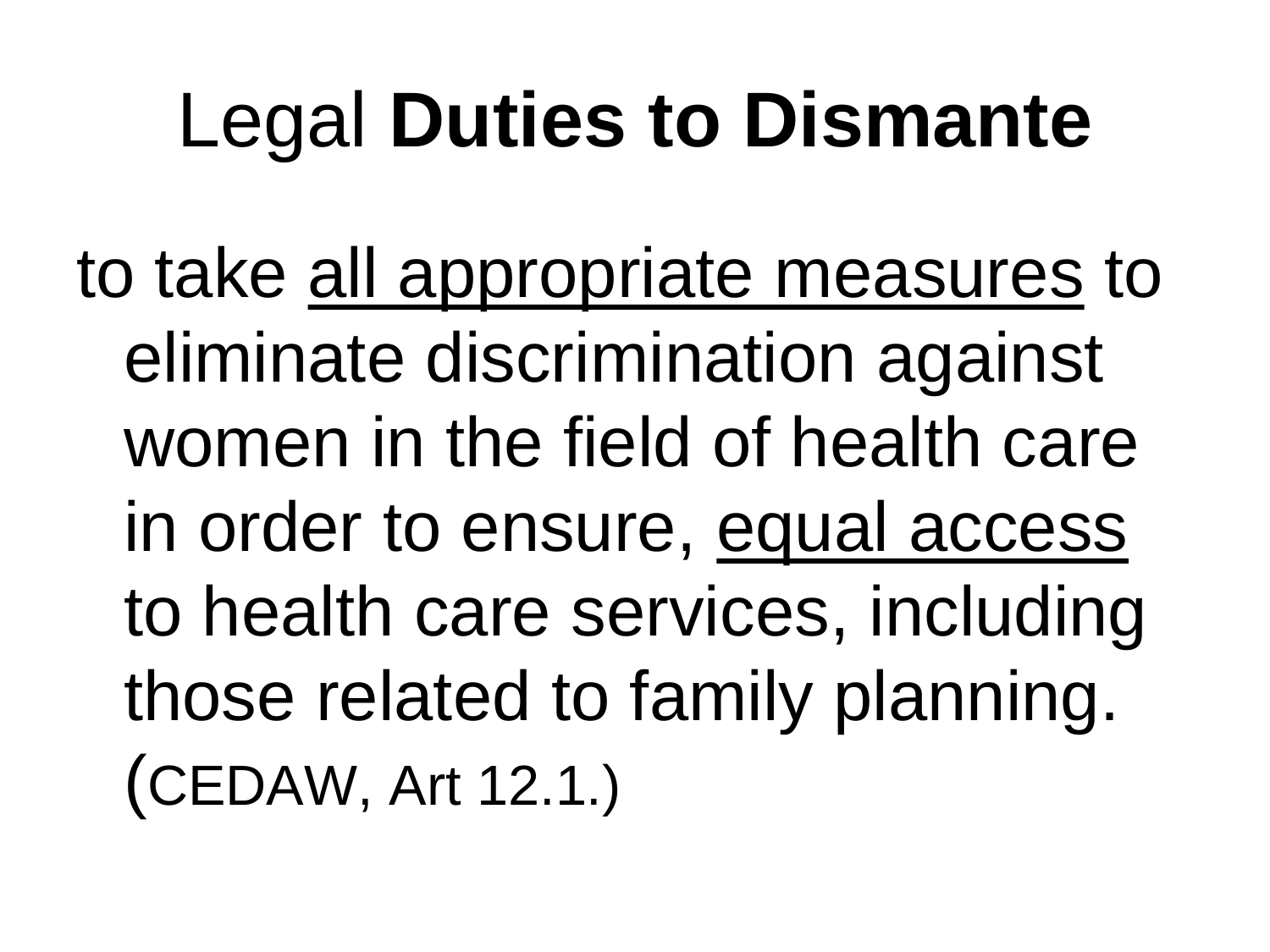### Legal **Duties to Dismante**

to take all appropriate measures to eliminate discrimination against women in the field of health care in order to ensure, equal access to health care services, including those related to family planning. (CEDAW, Art 12.1.)